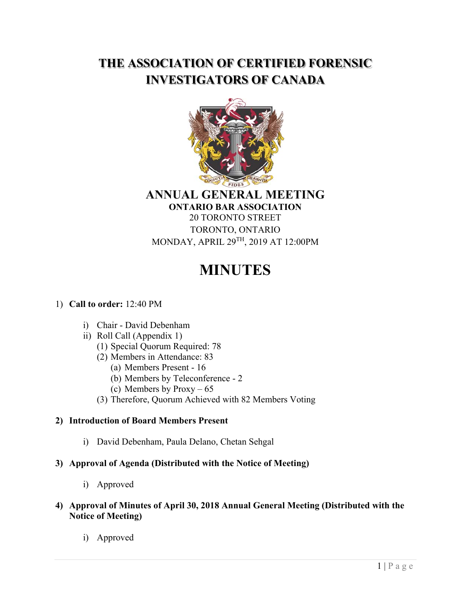# **THE ASSOCIATION OF CERTIFIED FORENSIC INVESTIGATORS OF CANADA**



#### **ANNUAL GENERAL MEETING ONTARIO BAR ASSOCIATION**

20 TORONTO STREET TORONTO, ONTARIO MONDAY, APRIL 29TH, 2019 AT 12:00PM

# **MINUTES**

# 1) **Call to order:** 12:40 PM

- i) Chair David Debenham
- ii) Roll Call (Appendix 1)
	- (1) Special Quorum Required: 78
	- (2) Members in Attendance: 83
		- (a) Members Present 16
		- (b) Members by Teleconference 2
		- (c) Members by Proxy 65
	- (3) Therefore, Quorum Achieved with 82 Members Voting

# **2) Introduction of Board Members Present**

i) David Debenham, Paula Delano, Chetan Sehgal

# **3) Approval of Agenda (Distributed with the Notice of Meeting)**

i) Approved

#### **4) Approval of Minutes of April 30, 2018 Annual General Meeting (Distributed with the Notice of Meeting)**

i) Approved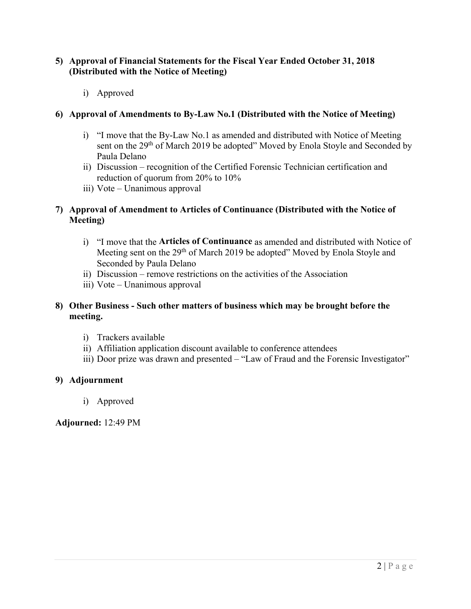#### **5) Approval of Financial Statements for the Fiscal Year Ended October 31, 2018 (Distributed with the Notice of Meeting)**

i) Approved

#### **6) Approval of Amendments to By-Law No.1 (Distributed with the Notice of Meeting)**

- i) "I move that the By-Law No.1 as amended and distributed with Notice of Meeting sent on the 29<sup>th</sup> of March 2019 be adopted" Moved by Enola Stoyle and Seconded by Paula Delano
- ii) Discussion recognition of the Certified Forensic Technician certification and reduction of quorum from 20% to 10%
- iii) Vote Unanimous approval

#### **7) Approval of Amendment to Articles of Continuance (Distributed with the Notice of Meeting)**

- i) "I move that the **Articles of Continuance** as amended and distributed with Notice of Meeting sent on the 29<sup>th</sup> of March 2019 be adopted" Moved by Enola Stoyle and Seconded by Paula Delano
- ii) Discussion remove restrictions on the activities of the Association
- iii) Vote Unanimous approval

#### **8) Other Business - Such other matters of business which may be brought before the meeting.**

- i) Trackers available
- ii) Affiliation application discount available to conference attendees
- iii) Door prize was drawn and presented "Law of Fraud and the Forensic Investigator"

#### **9) Adjournment**

i) Approved

**Adjourned:** 12:49 PM